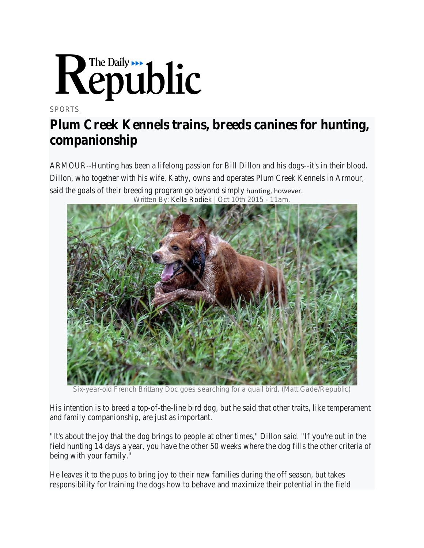

## **[SPORTS](https://www.mitchellrepublic.com/sports/)**

## **Plum Creek Kennels trains, breeds canines for hunting, companionship**

ARMOUR--Hunting has been a lifelong passion for Bill Dillon and his dogs--it's in their blood. Dillon, who together with his wife, Kathy, owns and operates Plum Creek Kennels in Armour, said the goals of their breeding program go beyond simply hunting, however. Written By: Kella Rodiek | Oct 10th 2015 - 11am.



Six-year-old French Brittany Doc goes searching for a quail bird. (Matt Gade/Republic)

His intention is to breed a top-of-the-line bird dog, but he said that other traits, like temperament and family companionship, are just as important.

"It's about the joy that the dog brings to people at other times," Dillon said. "If you're out in the field hunting 14 days a year, you have the other 50 weeks where the dog fills the other criteria of being with your family."

He leaves it to the pups to bring joy to their new families during the off season, but takes responsibility for training the dogs how to behave and maximize their potential in the field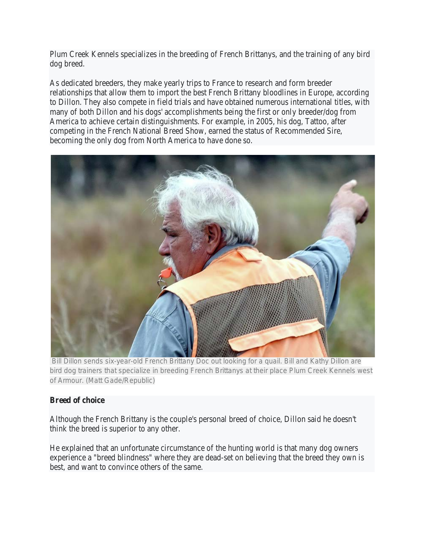Plum Creek Kennels specializes in the breeding of French Brittanys, and the training of any bird dog breed.

As dedicated breeders, they make yearly trips to France to research and form breeder relationships that allow them to import the best French Brittany bloodlines in Europe, according to Dillon. They also compete in field trials and have obtained numerous international titles, with many of both Dillon and his dogs' accomplishments being the first or only breeder/dog from America to achieve certain distinguishments. For example, in 2005, his dog, Tattoo, after competing in the French National Breed Show, earned the status of Recommended Sire, becoming the only dog from North America to have done so.



Bill Dillon sends six-year-old French Brittany Doc out looking for a quail. Bill and Kathy Dillon are bird dog trainers that specialize in breeding French Brittanys at their place Plum Creek Kennels west of Armour. (Matt Gade/Republic)

## **Breed of choice**

Although the French Brittany is the couple's personal breed of choice, Dillon said he doesn't think the breed is superior to any other.

He explained that an unfortunate circumstance of the hunting world is that many dog owners experience a "breed blindness" where they are dead-set on believing that the breed they own is best, and want to convince others of the same.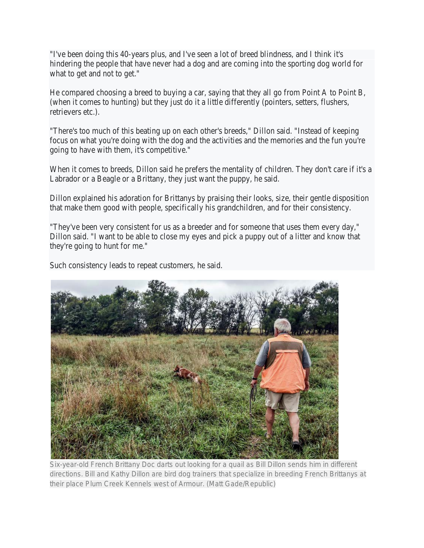"I've been doing this 40-years plus, and I've seen a lot of breed blindness, and I think it's hindering the people that have never had a dog and are coming into the sporting dog world for what to get and not to get."

He compared choosing a breed to buying a car, saying that they all go from Point A to Point B, (when it comes to hunting) but they just do it a little differently (pointers, setters, flushers, retrievers etc.).

"There's too much of this beating up on each other's breeds," Dillon said. "Instead of keeping focus on what you're doing with the dog and the activities and the memories and the fun you're going to have with them, it's competitive."

When it comes to breeds, Dillon said he prefers the mentality of children. They don't care if it's a Labrador or a Beagle or a Brittany, they just want the puppy, he said.

Dillon explained his adoration for Brittanys by praising their looks, size, their gentle disposition that make them good with people, specifically his grandchildren, and for their consistency.

"They've been very consistent for us as a breeder and for someone that uses them every day," Dillon said. "I want to be able to close my eyes and pick a puppy out of a litter and know that they're going to hunt for me."

Such consistency leads to repeat customers, he said.



Six-year-old French Brittany Doc darts out looking for a quail as Bill Dillon sends him in different directions. Bill and Kathy Dillon are bird dog trainers that specialize in breeding French Brittanys at their place Plum Creek Kennels west of Armour. (Matt Gade/Republic)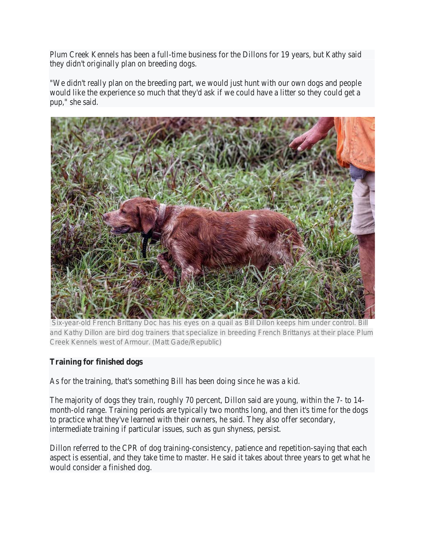Plum Creek Kennels has been a full-time business for the Dillons for 19 years, but Kathy said they didn't originally plan on breeding dogs.

"We didn't really plan on the breeding part, we would just hunt with our own dogs and people would like the experience so much that they'd ask if we could have a litter so they could get a pup," she said.



Six-year-old French Brittany Doc has his eyes on a quail as Bill Dillon keeps him under control. Bill and Kathy Dillon are bird dog trainers that specialize in breeding French Brittanys at their place Plum Creek Kennels west of Armour. (Matt Gade/Republic)

## **Training for finished dogs**

As for the training, that's something Bill has been doing since he was a kid.

The majority of dogs they train, roughly 70 percent, Dillon said are young, within the 7- to 14 month-old range. Training periods are typically two months long, and then it's time for the dogs to practice what they've learned with their owners, he said. They also offer secondary, intermediate training if particular issues, such as gun shyness, persist.

Dillon referred to the CPR of dog training-consistency, patience and repetition-saying that each aspect is essential, and they take time to master. He said it takes about three years to get what he would consider a finished dog.